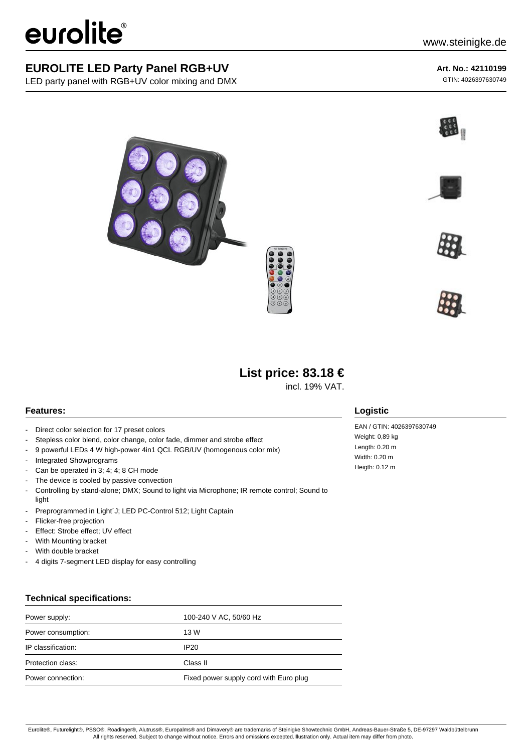# eurolite®

LED party panel with RGB+UV color mixing and DMX

### **Art. No.: 42110199**

GTIN: 4026397630749











## **List price: 83.18 €**

incl. 19% VAT.

#### **Features:**

- Direct color selection for 17 preset colors
- Stepless color blend, color change, color fade, dimmer and strobe effect
- 9 powerful LEDs 4 W high-power 4in1 QCL RGB/UV (homogenous color mix)
- Integrated Showprograms
- Can be operated in 3; 4; 4; 8 CH mode
- The device is cooled by passive convection
- Controlling by stand-alone; DMX; Sound to light via Microphone; IR remote control; Sound to light
- Preprogrammed in Light´J; LED PC-Control 512; Light Captain
- Flicker-free projection
- Effect: Strobe effect; UV effect
- With Mounting bracket
- With double bracket
- 4 digits 7-segment LED display for easy controlling

#### **Technical specifications:**

| Power supply:      | 100-240 V AC, 50/60 Hz                 |
|--------------------|----------------------------------------|
| Power consumption: | 13 W                                   |
| IP classification: | IP20                                   |
| Protection class:  | Class II                               |
| Power connection:  | Fixed power supply cord with Euro plug |

#### **Logistic**

EAN / GTIN: 4026397630749 Weight: 0,89 kg Length: 0.20 m Width: 0.20 m Heigth: 0.12 m

Eurolite®, Futurelight®, PSSO®, Roadinger®, Alutruss®, Europalms® and Dimavery® are trademarks of Steinigke Showtechnic GmbH, Andreas-Bauer-Straße 5, DE-97297 Waldbüttelbrunn All rights reserved. Subject to change without notice. Errors and omissions excepted.Illustration only. Actual item may differ from photo.